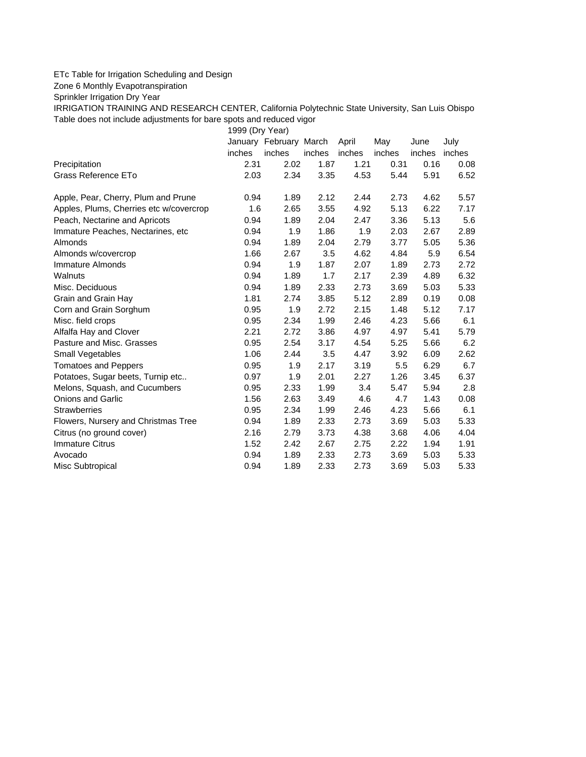## ETc Table for Irrigation Scheduling and Design

Zone 6 Monthly Evapotranspiration

Sprinkler Irrigation Dry Year

IRRIGATION TRAINING AND RESEARCH CENTER, California Polytechnic State University, San Luis Obispo Table does not include adjustments for bare spots and reduced vigor

1999 (Dry Year)

|                                         |        | January February March |        | April  | May    | June   | July   |
|-----------------------------------------|--------|------------------------|--------|--------|--------|--------|--------|
|                                         | inches | inches                 | inches | inches | inches | inches | inches |
| Precipitation                           | 2.31   | 2.02                   | 1.87   | 1.21   | 0.31   | 0.16   | 0.08   |
| Grass Reference ETo                     | 2.03   | 2.34                   | 3.35   | 4.53   | 5.44   | 5.91   | 6.52   |
| Apple, Pear, Cherry, Plum and Prune     | 0.94   | 1.89                   | 2.12   | 2.44   | 2.73   | 4.62   | 5.57   |
| Apples, Plums, Cherries etc w/covercrop | 1.6    | 2.65                   | 3.55   | 4.92   | 5.13   | 6.22   | 7.17   |
| Peach, Nectarine and Apricots           | 0.94   | 1.89                   | 2.04   | 2.47   | 3.36   | 5.13   | 5.6    |
| Immature Peaches, Nectarines, etc       | 0.94   | 1.9                    | 1.86   | 1.9    | 2.03   | 2.67   | 2.89   |
| Almonds                                 | 0.94   | 1.89                   | 2.04   | 2.79   | 3.77   | 5.05   | 5.36   |
| Almonds w/covercrop                     | 1.66   | 2.67                   | 3.5    | 4.62   | 4.84   | 5.9    | 6.54   |
| Immature Almonds                        | 0.94   | 1.9                    | 1.87   | 2.07   | 1.89   | 2.73   | 2.72   |
| Walnuts                                 | 0.94   | 1.89                   | 1.7    | 2.17   | 2.39   | 4.89   | 6.32   |
| Misc. Deciduous                         | 0.94   | 1.89                   | 2.33   | 2.73   | 3.69   | 5.03   | 5.33   |
| Grain and Grain Hay                     | 1.81   | 2.74                   | 3.85   | 5.12   | 2.89   | 0.19   | 0.08   |
| Corn and Grain Sorghum                  | 0.95   | 1.9                    | 2.72   | 2.15   | 1.48   | 5.12   | 7.17   |
| Misc. field crops                       | 0.95   | 2.34                   | 1.99   | 2.46   | 4.23   | 5.66   | 6.1    |
| Alfalfa Hay and Clover                  | 2.21   | 2.72                   | 3.86   | 4.97   | 4.97   | 5.41   | 5.79   |
| Pasture and Misc. Grasses               | 0.95   | 2.54                   | 3.17   | 4.54   | 5.25   | 5.66   | 6.2    |
| Small Vegetables                        | 1.06   | 2.44                   | 3.5    | 4.47   | 3.92   | 6.09   | 2.62   |
| <b>Tomatoes and Peppers</b>             | 0.95   | 1.9                    | 2.17   | 3.19   | 5.5    | 6.29   | 6.7    |
| Potatoes, Sugar beets, Turnip etc       | 0.97   | 1.9                    | 2.01   | 2.27   | 1.26   | 3.45   | 6.37   |
| Melons, Squash, and Cucumbers           | 0.95   | 2.33                   | 1.99   | 3.4    | 5.47   | 5.94   | 2.8    |
| <b>Onions and Garlic</b>                | 1.56   | 2.63                   | 3.49   | 4.6    | 4.7    | 1.43   | 0.08   |
| <b>Strawberries</b>                     | 0.95   | 2.34                   | 1.99   | 2.46   | 4.23   | 5.66   | 6.1    |
| Flowers, Nursery and Christmas Tree     | 0.94   | 1.89                   | 2.33   | 2.73   | 3.69   | 5.03   | 5.33   |
| Citrus (no ground cover)                | 2.16   | 2.79                   | 3.73   | 4.38   | 3.68   | 4.06   | 4.04   |
| <b>Immature Citrus</b>                  | 1.52   | 2.42                   | 2.67   | 2.75   | 2.22   | 1.94   | 1.91   |
| Avocado                                 | 0.94   | 1.89                   | 2.33   | 2.73   | 3.69   | 5.03   | 5.33   |
| Misc Subtropical                        | 0.94   | 1.89                   | 2.33   | 2.73   | 3.69   | 5.03   | 5.33   |